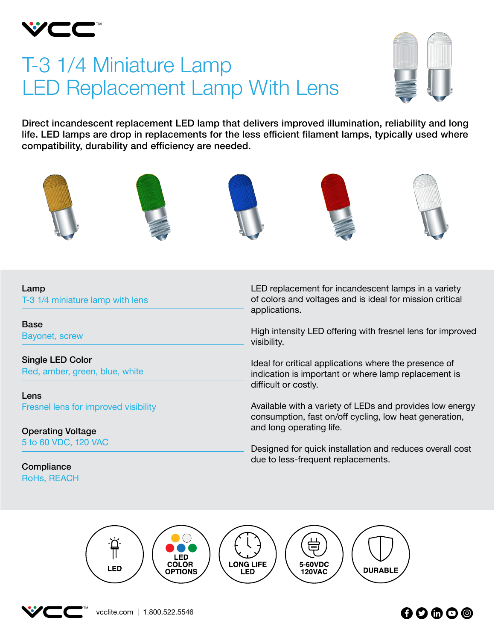

# T-3 1/4 Miniature Lamp LED Replacement Lamp With Lens



Direct incandescent replacement LED lamp that delivers improved illumination, reliability and long life. LED lamps are drop in replacements for the less efficient filament lamps, typically used where compatibility, durability and efficiency are needed.



#### Lamp

T-3 1/4 miniature lamp with lens

Base Bayonet, screw

Single LED Color Red, amber, green, blue, white

Lens Fresnel lens for improved visibility

Operating Voltage 5 to 60 VDC, 120 VAC

**Compliance** RoHs, REACH LED replacement for incandescent lamps in a variety of colors and voltages and is ideal for mission critical applications.

High intensity LED offering with fresnel lens for improved visibility.

Ideal for critical applications where the presence of indication is important or where lamp replacement is difficult or costly.

Available with a variety of LEDs and provides low energy consumption, fast on/off cycling, low heat generation, and long operating life.

Designed for quick installation and reduces overall cost due to less-frequent replacements.